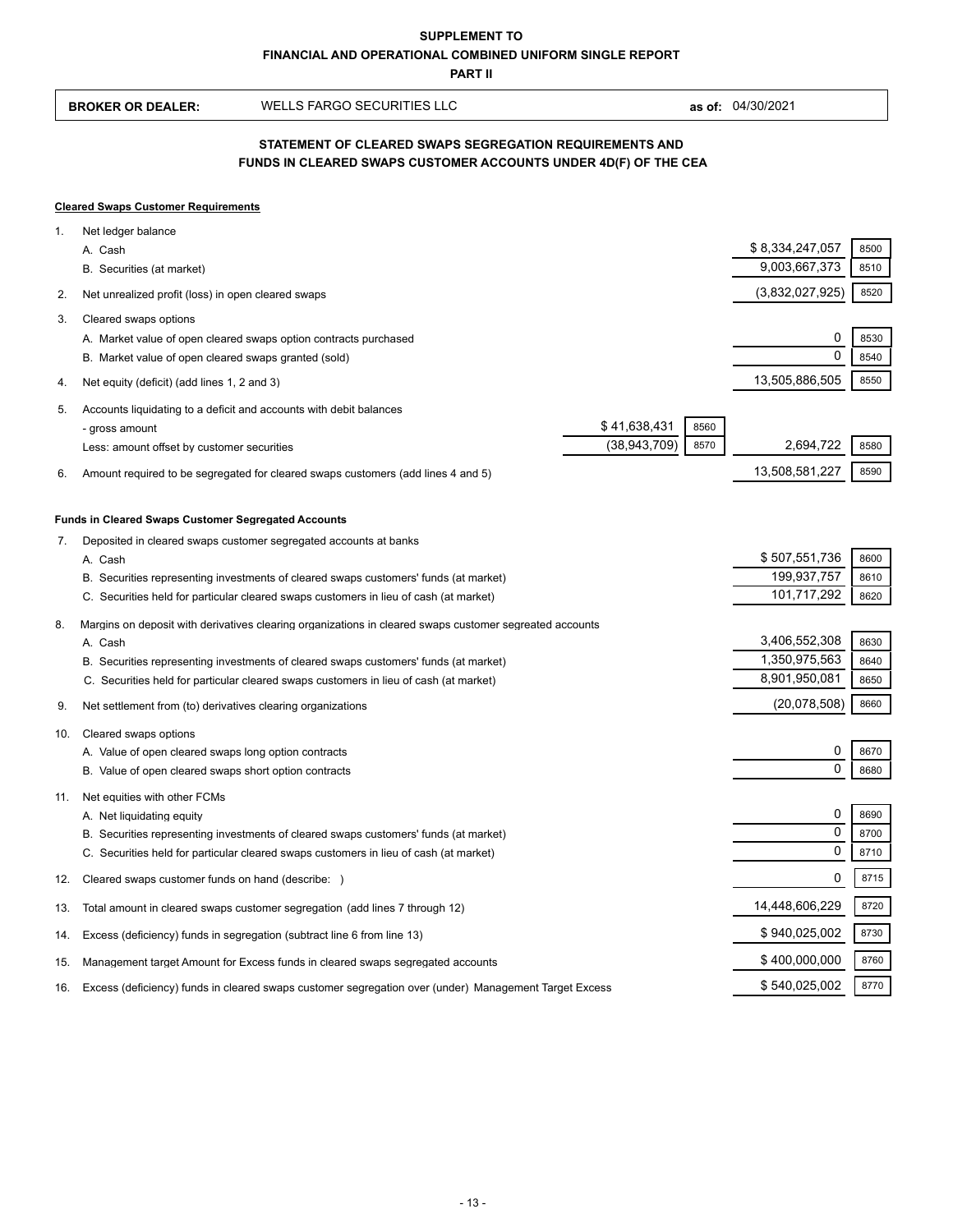**PART II**

| 04/30/2021<br>as of: |
|----------------------|
|                      |

# **FUNDS IN CLEARED SWAPS CUSTOMER ACCOUNTS UNDER 4D(F) OF THE CEA STATEMENT OF CLEARED SWAPS SEGREGATION REQUIREMENTS AND**

## **Cleared Swaps Customer Requirements**

| 1.  | Net ledger balance                                                                                                                                                            |                |               |                 |      |
|-----|-------------------------------------------------------------------------------------------------------------------------------------------------------------------------------|----------------|---------------|-----------------|------|
|     | A. Cash                                                                                                                                                                       |                |               | \$8,334,247,057 | 8500 |
|     | B. Securities (at market)                                                                                                                                                     |                |               | 9,003,667,373   | 8510 |
| 2.  | Net unrealized profit (loss) in open cleared swaps                                                                                                                            |                |               | (3,832,027,925) | 8520 |
| 3.  | Cleared swaps options                                                                                                                                                         |                |               |                 |      |
|     | A. Market value of open cleared swaps option contracts purchased                                                                                                              |                |               | 0               | 8530 |
|     | B. Market value of open cleared swaps granted (sold)                                                                                                                          |                |               | $\Omega$        | 8540 |
| 4.  | Net equity (deficit) (add lines 1, 2 and 3)                                                                                                                                   |                |               | 13,505,886,505  | 8550 |
| 5.  | Accounts liquidating to a deficit and accounts with debit balances                                                                                                            |                |               |                 |      |
|     | - gross amount                                                                                                                                                                | \$41,638,431   | 8560          |                 |      |
|     | Less: amount offset by customer securities                                                                                                                                    | (38, 943, 709) | 8570          | 2,694,722       | 8580 |
| 6.  | Amount required to be segregated for cleared swaps customers (add lines 4 and 5)                                                                                              |                |               | 13,508,581,227  | 8590 |
|     |                                                                                                                                                                               |                |               |                 |      |
|     | <b>Funds in Cleared Swaps Customer Segregated Accounts</b>                                                                                                                    |                |               |                 |      |
| 7.  | Deposited in cleared swaps customer segregated accounts at banks                                                                                                              |                |               | \$507,551,736   | 8600 |
|     | A. Cash<br>B. Securities representing investments of cleared swaps customers' funds (at market)                                                                               |                |               | 199,937,757     | 8610 |
|     | C. Securities held for particular cleared swaps customers in lieu of cash (at market)                                                                                         |                |               | 101,717,292     | 8620 |
|     |                                                                                                                                                                               |                |               |                 |      |
| 8.  | Margins on deposit with derivatives clearing organizations in cleared swaps customer segreated accounts<br>A. Cash                                                            |                |               | 3,406,552,308   | 8630 |
|     |                                                                                                                                                                               |                |               | 1,350,975,563   | 8640 |
|     | B. Securities representing investments of cleared swaps customers' funds (at market)<br>C. Securities held for particular cleared swaps customers in lieu of cash (at market) |                | 8,901,950,081 | 8650            |      |
|     |                                                                                                                                                                               |                |               |                 | 8660 |
| 9.  | Net settlement from (to) derivatives clearing organizations                                                                                                                   |                |               | (20,078,508)    |      |
| 10. | Cleared swaps options                                                                                                                                                         |                |               |                 |      |
|     | A. Value of open cleared swaps long option contracts                                                                                                                          |                |               | 0               | 8670 |
|     | B. Value of open cleared swaps short option contracts                                                                                                                         |                |               | $\mathbf 0$     | 8680 |
| 11. | Net equities with other FCMs                                                                                                                                                  |                |               |                 |      |
|     | A. Net liquidating equity                                                                                                                                                     |                |               | 0               | 8690 |
|     | B. Securities representing investments of cleared swaps customers' funds (at market)                                                                                          |                |               | $\mathbf 0$     | 8700 |
|     | C. Securities held for particular cleared swaps customers in lieu of cash (at market)                                                                                         |                |               | $\mathbf 0$     | 8710 |
| 12. | Cleared swaps customer funds on hand (describe: )                                                                                                                             |                |               | $\mathbf 0$     | 8715 |
| 13. | Total amount in cleared swaps customer segregation (add lines 7 through 12)                                                                                                   |                |               | 14,448,606,229  | 8720 |
| 14. | Excess (deficiency) funds in segregation (subtract line 6 from line 13)                                                                                                       |                |               | \$940,025,002   | 8730 |
| 15. | Management target Amount for Excess funds in cleared swaps segregated accounts                                                                                                |                |               | \$400,000,000   | 8760 |
| 16. | Excess (deficiency) funds in cleared swaps customer segregation over (under) Management Target Excess                                                                         |                |               | \$540,025,002   | 8770 |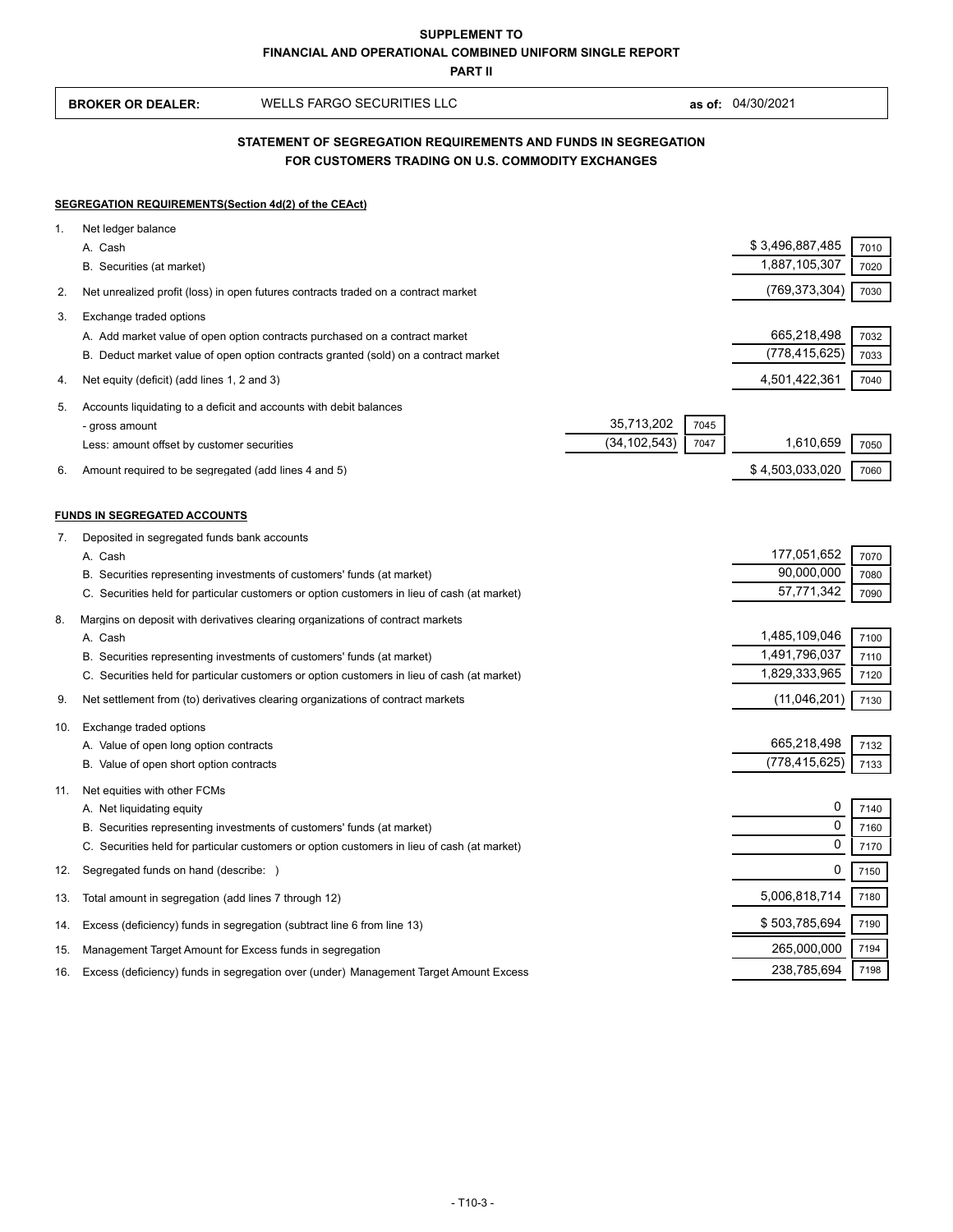**PART II**

 **BROKER OR DEALER:** WELLS FARGO SECURITIES LLC **as of:** 04/30/2021

# **FOR CUSTOMERS TRADING ON U.S. COMMODITY EXCHANGES STATEMENT OF SEGREGATION REQUIREMENTS AND FUNDS IN SEGREGATION**

#### **SEGREGATION REQUIREMENTS(Section 4d(2) of the CEAct)**

| 1.  | Net ledger balance                                                                          |                |      |                            |      |
|-----|---------------------------------------------------------------------------------------------|----------------|------|----------------------------|------|
|     | A. Cash                                                                                     |                |      | \$3,496,887,485            | 7010 |
|     | B. Securities (at market)                                                                   |                |      | 1,887,105,307              | 7020 |
| 2.  | Net unrealized profit (loss) in open futures contracts traded on a contract market          |                |      | (769, 373, 304)            | 7030 |
| 3.  | Exchange traded options                                                                     |                |      |                            |      |
|     | A. Add market value of open option contracts purchased on a contract market                 |                |      | 665,218,498                | 7032 |
|     | B. Deduct market value of open option contracts granted (sold) on a contract market         |                |      | (778, 415, 625)            | 7033 |
| 4.  | Net equity (deficit) (add lines 1, 2 and 3)                                                 |                |      | 4,501,422,361              | 7040 |
| 5.  | Accounts liquidating to a deficit and accounts with debit balances                          |                |      |                            |      |
|     | - gross amount                                                                              | 35,713,202     | 7045 |                            |      |
|     | Less: amount offset by customer securities                                                  | (34, 102, 543) | 7047 | 1,610,659                  | 7050 |
| 6.  | Amount required to be segregated (add lines 4 and 5)                                        |                |      | \$4,503,033,020            | 7060 |
|     |                                                                                             |                |      |                            |      |
|     | <b>FUNDS IN SEGREGATED ACCOUNTS</b>                                                         |                |      |                            |      |
| 7.  | Deposited in segregated funds bank accounts<br>A. Cash                                      |                |      | 177,051,652                | 7070 |
|     | B. Securities representing investments of customers' funds (at market)                      |                |      | 90,000,000                 | 7080 |
|     | C. Securities held for particular customers or option customers in lieu of cash (at market) |                |      | 57,771,342                 | 7090 |
| 8.  | Margins on deposit with derivatives clearing organizations of contract markets              |                |      |                            |      |
|     | A. Cash                                                                                     |                |      | 1,485,109,046              | 7100 |
|     | B. Securities representing investments of customers' funds (at market)                      |                |      | 1,491,796,037              | 7110 |
|     | C. Securities held for particular customers or option customers in lieu of cash (at market) |                |      | 1,829,333,965              | 7120 |
| 9.  | Net settlement from (to) derivatives clearing organizations of contract markets             |                |      | (11,046,201)               | 7130 |
| 10. | Exchange traded options                                                                     |                |      |                            |      |
|     | A. Value of open long option contracts                                                      |                |      | 665,218,498                | 7132 |
|     | B. Value of open short option contracts                                                     |                |      | (778, 415, 625)            | 7133 |
| 11. | Net equities with other FCMs                                                                |                |      |                            |      |
|     | A. Net liquidating equity                                                                   |                |      | 0                          | 7140 |
|     | B. Securities representing investments of customers' funds (at market)                      |                |      | $\mathbf 0$<br>$\mathbf 0$ | 7160 |
|     | C. Securities held for particular customers or option customers in lieu of cash (at market) |                |      |                            | 7170 |
| 12. | Segregated funds on hand (describe: )                                                       |                |      | 0                          | 7150 |
| 13. | Total amount in segregation (add lines 7 through 12)                                        |                |      | 5,006,818,714              | 7180 |
| 14. | Excess (deficiency) funds in segregation (subtract line 6 from line 13)                     |                |      | \$503,785,694              | 7190 |
| 15. | Management Target Amount for Excess funds in segregation                                    |                |      | 265,000,000                | 7194 |
| 16. | Excess (deficiency) funds in segregation over (under) Management Target Amount Excess       |                |      | 238,785,694                | 7198 |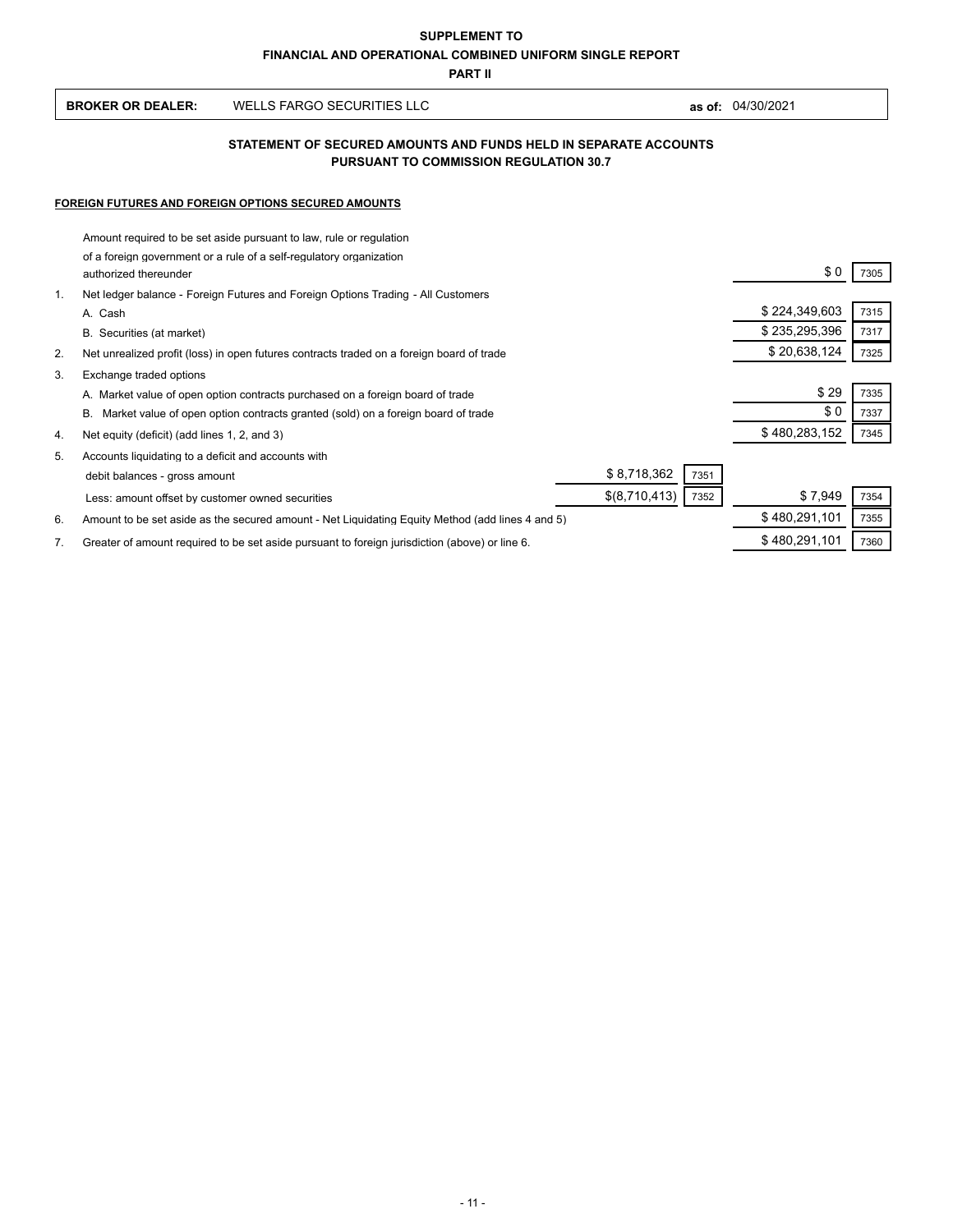**PART II**

| <b>BROKER OR DEALER:</b> | WELLS FARGO SECURITIES LLC | 04/30/2021<br>as of: |
|--------------------------|----------------------------|----------------------|
|--------------------------|----------------------------|----------------------|

## **PURSUANT TO COMMISSION REGULATION 30.7 STATEMENT OF SECURED AMOUNTS AND FUNDS HELD IN SEPARATE ACCOUNTS**

## **FOREIGN FUTURES AND FOREIGN OPTIONS SECURED AMOUNTS**

|                | Amount required to be set aside pursuant to law, rule or regulation                              |               |      |
|----------------|--------------------------------------------------------------------------------------------------|---------------|------|
|                | of a foreign government or a rule of a self-regulatory organization<br>authorized thereunder     | \$0           | 7305 |
| $\mathbf{1}$ . | Net ledger balance - Foreign Futures and Foreign Options Trading - All Customers                 |               |      |
|                | A. Cash                                                                                          | \$224,349,603 | 7315 |
|                | B. Securities (at market)                                                                        | \$235,295,396 | 7317 |
| 2.             | Net unrealized profit (loss) in open futures contracts traded on a foreign board of trade        | \$20,638,124  | 7325 |
| 3.             | Exchange traded options                                                                          |               |      |
|                | A. Market value of open option contracts purchased on a foreign board of trade                   | \$29          | 7335 |
|                | В.<br>Market value of open option contracts granted (sold) on a foreign board of trade           | \$0           | 7337 |
| 4.             | Net equity (deficit) (add lines 1, 2, and 3)                                                     | \$480,283,152 | 7345 |
| 5.             | Accounts liquidating to a deficit and accounts with                                              |               |      |
|                | \$8,718,362<br>7351<br>debit balances - gross amount                                             |               |      |
|                | \$(8,710,413)<br>7352<br>Less: amount offset by customer owned securities                        | \$7,949       | 7354 |
| 6.             | Amount to be set aside as the secured amount - Net Liquidating Equity Method (add lines 4 and 5) | \$480,291,101 | 7355 |
| 7.             | Greater of amount required to be set aside pursuant to foreign jurisdiction (above) or line 6.   | \$480,291,101 | 7360 |